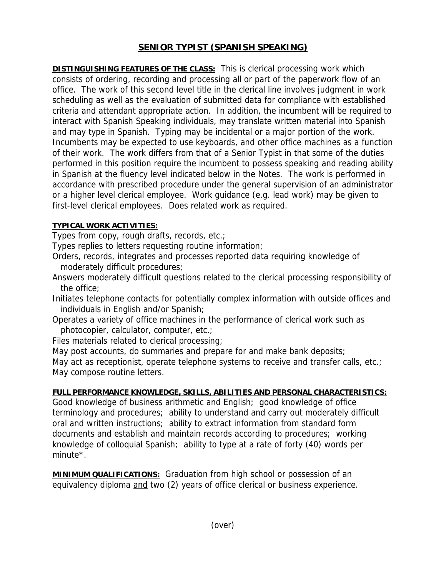## **SENIOR TYPIST (SPANISH SPEAKING)**

**DISTINGUISHING FEATURES OF THE CLASS:** This is clerical processing work which consists of ordering, recording and processing all or part of the paperwork flow of an office. The work of this second level title in the clerical line involves judgment in work scheduling as well as the evaluation of submitted data for compliance with established criteria and attendant appropriate action. In addition, the incumbent will be required to interact with Spanish Speaking individuals, may translate written material into Spanish and may type in Spanish. Typing may be incidental or a major portion of the work. Incumbents may be expected to use keyboards, and other office machines as a function of their work. The work differs from that of a Senior Typist in that some of the duties performed in this position require the incumbent to possess speaking and reading ability in Spanish at the fluency level indicated below in the Notes. The work is performed in accordance with prescribed procedure under the general supervision of an administrator or a higher level clerical employee. Work guidance (e.g. lead work) may be given to first-level clerical employees. Does related work as required.

## **TYPICAL WORK ACTIVITIES:**

Types from copy, rough drafts, records, etc.;

Types replies to letters requesting routine information;

- Orders, records, integrates and processes reported data requiring knowledge of moderately difficult procedures;
- Answers moderately difficult questions related to the clerical processing responsibility of the office;
- Initiates telephone contacts for potentially complex information with outside offices and individuals in English and/or Spanish;
- Operates a variety of office machines in the performance of clerical work such as photocopier, calculator, computer, etc.;
- Files materials related to clerical processing;

May post accounts, do summaries and prepare for and make bank deposits;

May act as receptionist, operate telephone systems to receive and transfer calls, etc.; May compose routine letters.

## **FULL PERFORMANCE KNOWLEDGE, SKILLS, ABILITIES AND PERSONAL CHARACTERISTICS:**

Good knowledge of business arithmetic and English; good knowledge of office terminology and procedures; ability to understand and carry out moderately difficult oral and written instructions; ability to extract information from standard form documents and establish and maintain records according to procedures; working knowledge of colloquial Spanish; ability to type at a rate of forty (40) words per minute\*.

**MINIMUM QUALIFICATIONS:** Graduation from high school or possession of an equivalency diploma and two (2) years of office clerical or business experience.